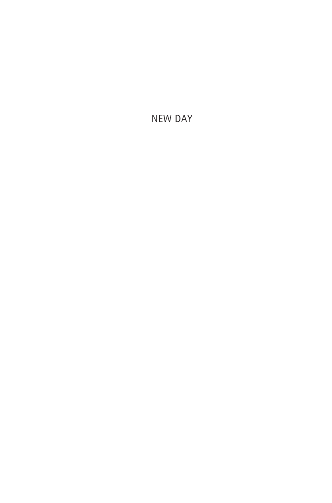NEW DAY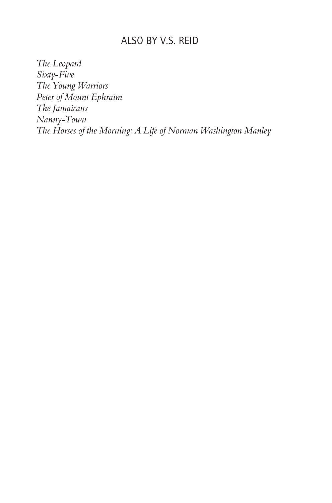### ALSO BY V.S. REID

*The Leopard Sixty-Five The Young Warriors Peter of Mount Ephraim The Jamaicans Nanny-Town The Horses of the Morning: A Life of Norman Washington Manley*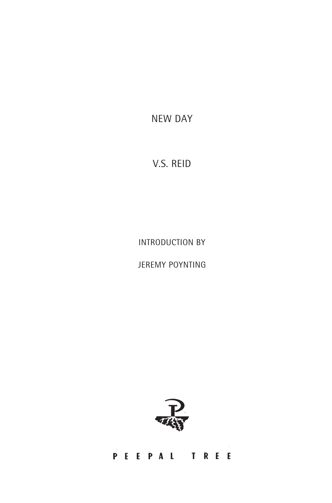NEW DAY

# V.S. REID

INTRODUCTION BY

JEREMY POYNTING



## PEEPAL TREE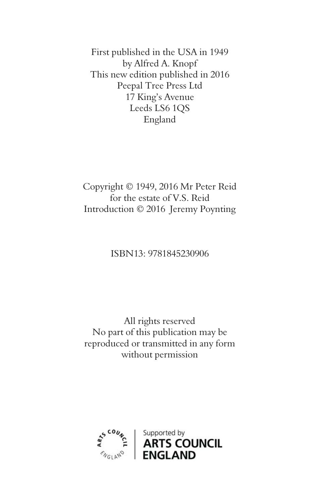First published in the USA in 1949 by Alfred A. Knopf This new edition published in 2016 Peepal Tree Press Ltd 17 King's Avenue Leeds LS6 1QS England

Copyright © 1949, 2016 Mr Peter Reid for the estate of V.S. Reid Introduction © 2016 Jeremy Poynting

### ISBN13: 9781845230906

All rights reserved No part of this publication may be reproduced or transmitted in any form without permission

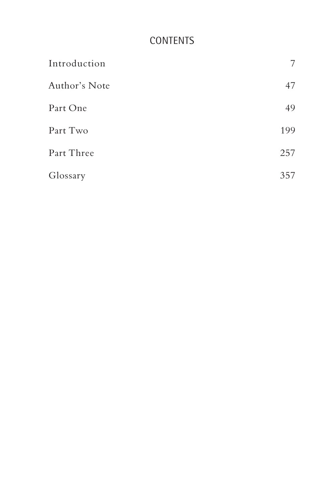# CONTENTS

| Introduction  | 7   |
|---------------|-----|
| Author's Note | 47  |
| Part One      | 49  |
| Part Two      | 199 |
| Part Three    | 257 |
| Glossary      | 357 |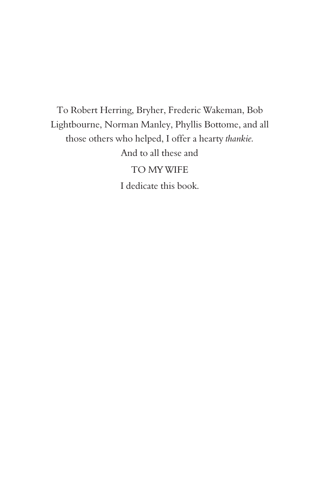To Robert Herring, Bryher, Frederic Wakeman, Bob Lightbourne, Norman Manley, Phyllis Bottome, and all those others who helped, I offer a hearty *thankie.* And to all these and TO MY WIFE I dedicate this book.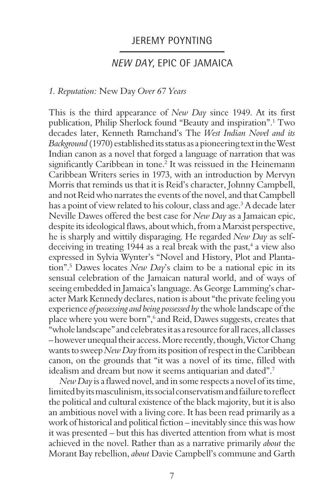### JEREMY POYNTING

### NEW DAY, EPIC OF JAMAICA

#### *1. Reputation:* New Day *Over 67 Years*

This is the third appearance of *New Day* since 1949. At its first publication, Philip Sherlock found "Beauty and inspiration".1 Two decades later, Kenneth Ramchand's The *West Indian Novel and its Background* (1970) established its status as a pioneering text in the West Indian canon as a novel that forged a language of narration that was significantly Caribbean in tone.<sup>2</sup> It was reissued in the Heinemann Caribbean Writers series in 1973, with an introduction by Mervyn Morris that reminds us that it is Reid's character, Johnny Campbell, and not Reid who narrates the events of the novel, and that Campbell has a point of view related to his colour, class and age.<sup>3</sup> A decade later Neville Dawes offered the best case for *New Day* as a Jamaican epic, despite its ideological flaws, about which, from a Marxist perspective, he is sharply and wittily disparaging. He regarded *New Day* as selfdeceiving in treating 1944 as a real break with the past,<sup>4</sup> a view also expressed in Sylvia Wynter's "Novel and History, Plot and Plantation".5 Dawes locates *New Day*'s claim to be a national epic in its sensual celebration of the Jamaican natural world, and of ways of seeing embedded in Jamaica's language. As George Lamming's character Mark Kennedy declares, nation is about "the private feeling you experience *of possessing and being possessed by* the whole landscape of the place where you were born",<sup>6</sup> and Reid, Dawes suggests, creates that "whole landscape" and celebrates it as a resource for all races, all classes – however unequal their access. More recently, though, Victor Chang wants to sweep *New Day* from its position of respect in the Caribbean canon, on the grounds that "it was a novel of its time, filled with idealism and dream but now it seems antiquarian and dated".7

*New Day* is a flawed novel, and in some respects a novel of its time, limited by its masculinism, its social conservatism and failure to reflect the political and cultural existence of the black majority, but it is also an ambitious novel with a living core. It has been read primarily as a work of historical and political fiction – inevitably since this was how it was presented – but this has diverted attention from what is most achieved in the novel. Rather than as a narrative primarily *about* the Morant Bay rebellion, *about* Davie Campbell's commune and Garth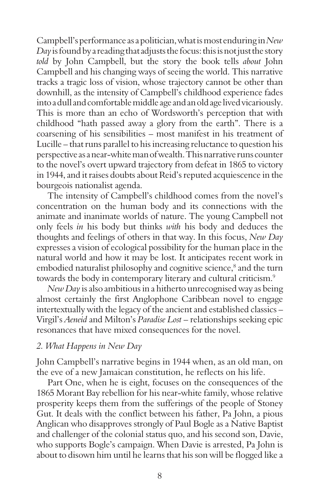Campbell's performance as a politician, what is most enduring in *New Day* is found by a reading that adjusts the focus: this is not just the story *told* by John Campbell, but the story the book tells *about* John Campbell and his changing ways of seeing the world. This narrative tracks a tragic loss of vision, whose trajectory cannot be other than downhill, as the intensity of Campbell's childhood experience fades into a dull and comfortable middle age and an old age lived vicariously. This is more than an echo of Wordsworth's perception that with childhood "hath passed away a glory from the earth". There is a coarsening of his sensibilities – most manifest in his treatment of Lucille – that runs parallel to his increasing reluctance to question his perspective as a near-white man of wealth. This narrative runs counter to the novel's overt upward trajectory from defeat in 1865 to victory in 1944, and it raises doubts about Reid's reputed acquiescence in the bourgeois nationalist agenda.

The intensity of Campbell's childhood comes from the novel's concentration on the human body and its connections with the animate and inanimate worlds of nature. The young Campbell not only feels *in* his body but thinks *with* his body and deduces the thoughts and feelings of others in that way. In this focus, *New Day* expresses a vision of ecological possibility for the human place in the natural world and how it may be lost. It anticipates recent work in embodied naturalist philosophy and cognitive science,<sup>8</sup> and the turn towards the body in contemporary literary and cultural criticism.<sup>9</sup>

*New Day* is also ambitious in a hitherto unrecognised way as being almost certainly the first Anglophone Caribbean novel to engage intertextually with the legacy of the ancient and established classics – Virgil's *Aeneid* and Milton's *Paradise Lost* – relationships seeking epic resonances that have mixed consequences for the novel.

#### *2. What Happens in New Day*

John Campbell's narrative begins in 1944 when, as an old man, on the eve of a new Jamaican constitution, he reflects on his life.

Part One, when he is eight, focuses on the consequences of the 1865 Morant Bay rebellion for his near-white family, whose relative prosperity keeps them from the sufferings of the people of Stoney Gut. It deals with the conflict between his father, Pa John, a pious Anglican who disapproves strongly of Paul Bogle as a Native Baptist and challenger of the colonial status quo, and his second son, Davie, who supports Bogle's campaign. When Davie is arrested, Pa John is about to disown him until he learns that his son will be flogged like a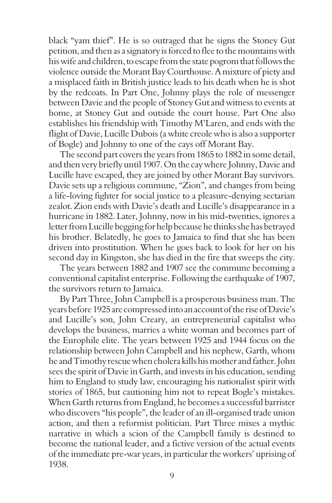black "yam thief". He is so outraged that he signs the Stoney Gut petition, and then as a signatory is forced to flee to the mountains with his wife and children, to escape from the state pogrom that follows the violence outside the Morant Bay Courthouse. A mixture of piety and a misplaced faith in British justice leads to his death when he is shot by the redcoats. In Part One, Johnny plays the role of messenger between Davie and the people of Stoney Gut and witness to events at home, at Stoney Gut and outside the court house. Part One also establishes his friendship with Timothy M'Laren, and ends with the flight of Davie, Lucille Dubois (a white creole who is also a supporter of Bogle) and Johnny to one of the cays off Morant Bay.

The second part covers the years from 1865 to 1882 in some detail, and then very briefly until 1907. On the cay where Johnny, Davie and Lucille have escaped, they are joined by other Morant Bay survivors. Davie sets up a religious commune, "Zion", and changes from being a life-loving fighter for social justice to a pleasure-denying sectarian zealot. Zion ends with Davie's death and Lucille's disappearance in a hurricane in 1882. Later, Johnny, now in his mid-twenties, ignores a letter from Lucille begging for help because he thinks she has betrayed his brother. Belatedly, he goes to Jamaica to find that she has been driven into prostitution. When he goes back to look for her on his second day in Kingston, she has died in the fire that sweeps the city.

The years between 1882 and 1907 see the commune becoming a conventional capitalist enterprise. Following the earthquake of 1907, the survivors return to Jamaica.

By Part Three, John Campbell is a prosperous business man. The years before 1925 are compressed into an account of the rise of Davie's and Lucille's son, John Creary, an entrepreneurial capitalist who develops the business, marries a white woman and becomes part of the Europhile elite. The years between 1925 and 1944 focus on the relationship between John Campbell and his nephew, Garth, whom he and Timothy rescue when cholera kills his mother and father. John sees the spirit of Davie in Garth, and invests in his education, sending him to England to study law, encouraging his nationalist spirit with stories of 1865, but cautioning him not to repeat Bogle's mistakes. When Garth returns from England, he becomes a successful barrister who discovers "his people", the leader of an ill-organised trade union action, and then a reformist politician. Part Three mixes a mythic narrative in which a scion of the Campbell family is destined to become the national leader, and a fictive version of the actual events of the immediate pre-war years, in particular the workers' uprising of 1938.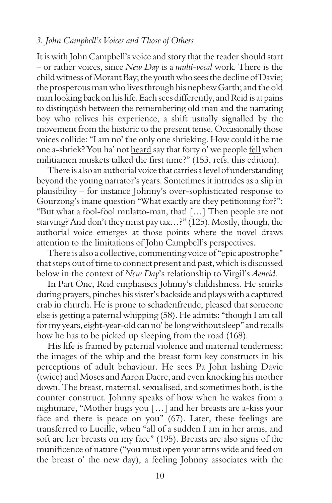### *3. John Campbell's Voices and Those of Others*

It is with John Campbell's voice and story that the reader should start – or rather voices, since *New Day* is a *multi-vocal* work. There is the child witness of Morant Bay; the youth who sees the decline of Davie; the prosperous man who lives through his nephew Garth; and the old man looking back on his life. Each sees differently, and Reid is at pains to distinguish between the remembering old man and the narrating boy who relives his experience, a shift usually signalled by the movement from the historic to the present tense. Occasionally those voices collide: "I am no' the only one shrieking. How could it be me one a-shriek? You ha' not heard say that forty o' we people fell when militiamen muskets talked the first time?" (153, refs. this edition).

There is also an authorial voice that carries a level of understanding beyond the young narrator's years. Sometimes it intrudes as a slip in plausibility – for instance Johnny's over-sophisticated response to Gourzong's inane question "What exactly are they petitioning for?": "But what a fool-fool mulatto-man, that! […] Then people are not starving? And don't they must pay tax…?" (125). Mostly, though, the authorial voice emerges at those points where the novel draws attention to the limitations of John Campbell's perspectives.

There is also a collective, commenting voice of "epic apostrophe" that steps out of time to connect present and past, which is discussed below in the context of *New Day*'s relationship to Virgil's *Aeneid*.

In Part One, Reid emphasises Johnny's childishness. He smirks during prayers, pinches his sister's backside and plays with a captured crab in church. He is prone to schadenfreude, pleased that someone else is getting a paternal whipping (58). He admits: "though I am tall for my years, eight-year-old can no' be long without sleep" and recalls how he has to be picked up sleeping from the road (168).

His life is framed by paternal violence and maternal tenderness; the images of the whip and the breast form key constructs in his perceptions of adult behaviour. He sees Pa John lashing Davie (twice) and Moses and Aaron Dacre, and even knocking his mother down. The breast, maternal, sexualised, and sometimes both, is the counter construct. Johnny speaks of how when he wakes from a nightmare, "Mother hugs you […] and her breasts are a-kiss your face and there is peace on you" (67). Later, these feelings are transferred to Lucille, when "all of a sudden I am in her arms, and soft are her breasts on my face" (195). Breasts are also signs of the munificence of nature ("you must open your arms wide and feed on the breast o' the new day), a feeling Johnny associates with the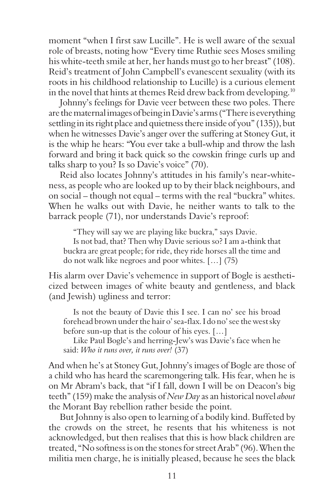moment "when I first saw Lucille". He is well aware of the sexual role of breasts, noting how "Every time Ruthie sees Moses smiling his white-teeth smile at her, her hands must go to her breast" (108). Reid's treatment of John Campbell's evanescent sexuality (with its roots in his childhood relationship to Lucille) is a curious element in the novel that hints at themes Reid drew back from developing.<sup>10</sup>

Johnny's feelings for Davie veer between these two poles. There are the maternal images of being in Davie's arms ("There is everything settling in its right place and quietness there inside of you" (135)), but when he witnesses Davie's anger over the suffering at Stoney Gut, it is the whip he hears: "You ever take a bull-whip and throw the lash forward and bring it back quick so the cowskin fringe curls up and talks sharp to you? Is so Davie's voice" (70).

Reid also locates Johnny's attitudes in his family's near-whiteness, as people who are looked up to by their black neighbours, and on social – though not equal – terms with the real "buckra" whites. When he walks out with Davie, he neither wants to talk to the barrack people (71), nor understands Davie's reproof:

"They will say we are playing like buckra," says Davie.

Is not bad, that? Then why Davie serious so? I am a-think that buckra are great people; for ride, they ride horses all the time and do not walk like negroes and poor whites. […] (75)

His alarm over Davie's vehemence in support of Bogle is aestheticized between images of white beauty and gentleness, and black (and Jewish) ugliness and terror:

Is not the beauty of Davie this I see. I can no' see his broad forehead brown under the hair o' sea-flax. I do no' see the west sky before sun-up that is the colour of his eyes. […]

Like Paul Bogle's and herring-Jew's was Davie's face when he said: *Who it runs over, it runs over!* (37)

And when he's at Stoney Gut, Johnny's images of Bogle are those of a child who has heard the scaremongering talk. His fear, when he is on Mr Abram's back, that "if I fall, down I will be on Deacon's big teeth" (159) make the analysis of *New Day* as an historical novel *about* the Morant Bay rebellion rather beside the point.

But Johnny is also open to learning of a bodily kind. Buffeted by the crowds on the street, he resents that his whiteness is not acknowledged, but then realises that this is how black children are treated, "No softness is on the stones for street Arab" (96). When the militia men charge, he is initially pleased, because he sees the black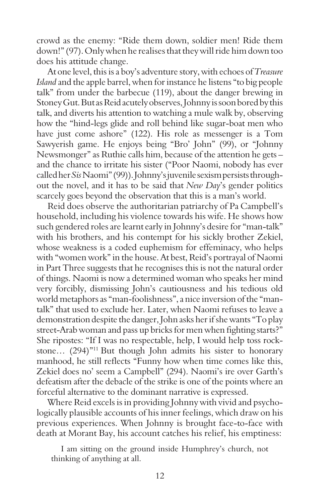crowd as the enemy: "Ride them down, soldier men! Ride them down!" (97). Only when he realises that they will ride him down too does his attitude change.

At one level, this is a boy's adventure story, with echoes of *Treasure Island* and the apple barrel, when for instance he listens "to big people talk" from under the barbecue (119), about the danger brewing in Stoney Gut. But as Reid acutely observes, Johnny is soon bored by this talk, and diverts his attention to watching a mule walk by, observing how the "hind-legs glide and roll behind like sugar-boat men who have just come ashore" (122). His role as messenger is a Tom Sawyerish game. He enjoys being "Bro' John" (99), or "Johnny Newsmonger" as Ruthie calls him, because of the attention he gets – and the chance to irritate his sister ("Poor Naomi, nobody has ever called her *Sis* Naomi" (99)). Johnny's juvenile sexism persists throughout the novel, and it has to be said that *New Day*'s gender politics scarcely goes beyond the observation that this is a man's world.

Reid does observe the authoritarian patriarchy of Pa Campbell's household, including his violence towards his wife. He shows how such gendered roles are learnt early in Johnny's desire for "man-talk" with his brothers, and his contempt for his sickly brother Zekiel, whose weakness is a coded euphemism for effeminacy, who helps with "women work" in the house. At best, Reid's portrayal of Naomi in Part Three suggests that he recognises this is not the natural order of things. Naomi is now a determined woman who speaks her mind very forcibly, dismissing John's cautiousness and his tedious old world metaphors as "man-foolishness", a nice inversion of the "mantalk" that used to exclude her. Later, when Naomi refuses to leave a demonstration despite the danger, John asks her if she wants "To play street-Arab woman and pass up bricks for men when fighting starts?" She ripostes: "If I was no respectable, help, I would help toss rockstone… (294)"<sup>11</sup> But though John admits his sister to honorary manhood, he still reflects "Funny how when time comes like this, Zekiel does no' seem a Campbell" (294). Naomi's ire over Garth's defeatism after the debacle of the strike is one of the points where an forceful alternative to the dominant narrative is expressed.

Where Reid excels is in providing Johnny with vivid and psychologically plausible accounts of his inner feelings, which draw on his previous experiences. When Johnny is brought face-to-face with death at Morant Bay, his account catches his relief, his emptiness:

I am sitting on the ground inside Humphrey's church, not thinking of anything at all.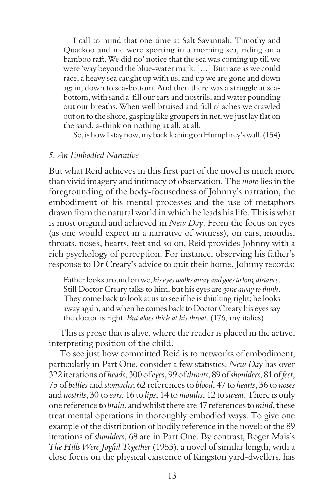I call to mind that one time at Salt Savannah, Timothy and Quackoo and me were sporting in a morning sea, riding on a bamboo raft. We did no' notice that the sea was coming up till we were 'way beyond the blue-water mark. […] But race as we could race, a heavy sea caught up with us, and up we are gone and down again, down to sea-bottom. And then there was a struggle at seabottom, with sand a-fill our ears and nostrils, and water pounding out our breaths. When well bruised and full o' aches we crawled out on to the shore, gasping like groupers in net, we just lay flat on the sand, a-think on nothing at all, at all.

So, is how I stay now, my back leaning on Humphrey's wall. (154)

### *5. An Embodied Narrative*

But what Reid achieves in this first part of the novel is much more than vivid imagery and intimacy of observation. The *more* lies in the foregrounding of the body-focusedness of Johnny's narration, the embodiment of his mental processes and the use of metaphors drawn from the natural world in which he leads his life. This is what is most original and achieved in *New Day*. From the focus on eyes (as one would expect in a narrative of witness), on ears, mouths, throats, noses, hearts, feet and so on, Reid provides Johnny with a rich psychology of perception. For instance, observing his father's response to Dr Creary's advice to quit their home, Johnny records:

Father looks around on we, *his eyes walks away and goes to long distance*. Still Doctor Creary talks to him, but his eyes are *gone away to think*. They come back to look at us to see if he is thinking right; he looks away again, and when he comes back to Doctor Creary his eyes say the doctor is right. *But aloes thick at his throat*. (176, my italics)

This is prose that is alive, where the reader is placed in the active, interpreting position of the child.

To see just how committed Reid is to networks of embodiment, particularly in Part One, consider a few statistics. *New Day* has over 322 iterations of *heads*, 300 of *eyes*, 99 of *throats*, 89 of *shoulders*, 81 of *feet*, 75 of *bellies* and *stomachs*; 62 references to *blood*, 47 to *hearts*, 36 to *noses* and *nostrils*, 30 to *ears*, 16 to *lips*, 14 to *mouths*, 12 to *sweat*. There is only one reference to *brain*, and whilst there are 47 references to *mind*, these treat mental operations in thoroughly embodied ways. To give one example of the distribution of bodily reference in the novel: of the 89 iterations of *shoulders*, 68 are in Part One. By contrast, Roger Mais's *The Hills Were Joyful Together* (1953), a novel of similar length, with a close focus on the physical existence of Kingston yard-dwellers, has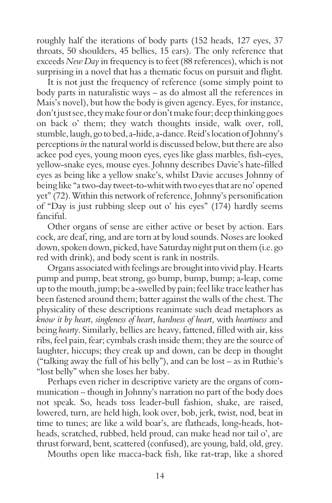roughly half the iterations of body parts (152 heads, 127 eyes, 37 throats, 50 shoulders, 45 bellies, 15 ears). The only reference that exceeds *New Day* in frequency is to feet (88 references), which is not surprising in a novel that has a thematic focus on pursuit and flight.

It is not just the frequency of reference (some simply point to body parts in naturalistic ways – as do almost all the references in Mais's novel), but how the body is given agency. Eyes, for instance, don't just see, they make four or don't make four; deep thinking goes on back o' them; they watch thoughts inside, walk over, roll, stumble, laugh, go to bed, a-hide, a-dance. Reid's location of Johnny's perceptions *in* the natural world is discussed below, but there are also ackee pod eyes, young moon eyes, eyes like glass marbles, fish-eyes, yellow-snake eyes, mouse eyes. Johnny describes Davie's hate-filled eyes as being like a yellow snake's, whilst Davie accuses Johnny of being like "a two-day tweet-to-whit with two eyes that are no' opened yet" (72). Within this network of reference, Johnny's personification of "Day is just rubbing sleep out o' his eyes" (174) hardly seems fanciful.

Other organs of sense are either active or beset by action. Ears cock, are deaf, ring, and are torn at by loud sounds. Noses are looked down, spoken down, picked, have Saturday night put on them (i.e. go red with drink), and body scent is rank in nostrils.

Organs associated with feelings are brought into vivid play. Hearts pump and pump, beat strong, go bump, bump, bump; a-leap, come up to the mouth, jump; be a-swelled by pain; feel like trace leather has been fastened around them; batter against the walls of the chest. The physicality of these descriptions reanimate such dead metaphors as *know it by heart*, *singleness of heart*, *hardness of heart*, with *heartiness* and being *hearty*. Similarly, bellies are heavy, fattened, filled with air, kiss ribs, feel pain, fear; cymbals crash inside them; they are the source of laughter, hiccups; they creak up and down, can be deep in thought ("talking away the full of his belly"), and can be lost – as in Ruthie's "lost belly" when she loses her baby.

Perhaps even richer in descriptive variety are the organs of communication – though in Johnny's narration no part of the body does not speak. So, heads toss leader-bull fashion, shake, are raised, lowered, turn, are held high, look over, bob, jerk, twist, nod, beat in time to tunes; are like a wild boar's, are flatheads, long-heads, hotheads, scratched, rubbed, held proud, can make head nor tail o', are thrust forward, bent, scattered (confused), are young, bald, old, grey.

Mouths open like macca-back fish, like rat-trap, like a shored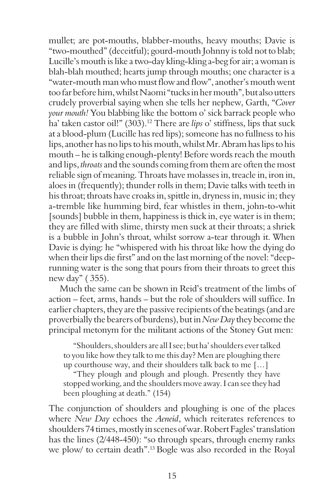mullet; are pot-mouths, blabber-mouths, heavy mouths; Davie is "two-mouthed" (deceitful); gourd-mouth Johnny is told not to blab; Lucille's mouth is like a two-day kling-kling a-beg for air; a woman is blah-blah mouthed; hearts jump through mouths; one character is a "water-mouth man who must flow and flow", another's mouth went too far before him, whilst Naomi "tucks in her mouth", but also utters crudely proverbial saying when she tells her nephew, Garth, "*Cover your mouth!* You blabbing like the bottom o' sick barrack people who ha' taken castor oil!" (303).<sup>12</sup> There are *lips* o' stiffness, lips that suck at a blood-plum (Lucille has red lips); someone has no fullness to his lips, another has no lips to his mouth, whilst Mr. Abram has lips to his mouth – he is talking enough-plenty! Before words reach the mouth and lips, *throats* and the sounds coming from them are often the most reliable sign of meaning. Throats have molasses in, treacle in, iron in, aloes in (frequently); thunder rolls in them; Davie talks with teeth in his throat; throats have croaks in, spittle in, dryness in, music in; they a-tremble like humming bird, fear whistles in them, john-to-whit [sounds] bubble in them, happiness is thick in, eye water is in them; they are filled with slime, thirsty men suck at their throats; a shriek is a bubble in John's throat, whilst sorrow a-tear through it. When Davie is dying: he "whispered with his throat like how the dying do when their lips die first" and on the last morning of the novel: "deeprunning water is the song that pours from their throats to greet this new day" ( 355).

Much the same can be shown in Reid's treatment of the limbs of action – feet, arms, hands – but the role of shoulders will suffice. In earlier chapters, they are the passive recipients of the beatings (and are proverbially the bearers of burdens), but in *New Day* they become the principal metonym for the militant actions of the Stoney Gut men:

"Shoulders, shoulders are all I see; but ha' shoulders ever talked to you like how they talk to me this day? Men are ploughing there up courthouse way, and their shoulders talk back to me […]

"They plough and plough and plough. Presently they have stopped working, and the shoulders move away. I can see they had been ploughing at death." (154)

The conjunction of shoulders and ploughing is one of the places where *New Day* echoes the *Aeneid*, which reiterates references to shoulders 74 times, mostly in scenes of war. Robert Fagles' translation has the lines (2/448-450): "so through spears, through enemy ranks we plow/ to certain death".13 Bogle was also recorded in the Royal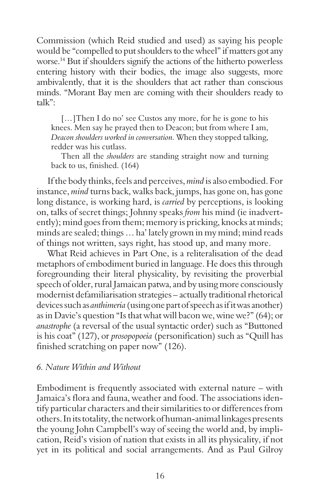Commission (which Reid studied and used) as saying his people would be "compelled to put shoulders to the wheel" if matters got any worse.<sup>14</sup> But if shoulders signify the actions of the hitherto powerless entering history with their bodies, the image also suggests, more ambivalently, that it is the shoulders that act rather than conscious minds. "Morant Bay men are coming with their shoulders ready to talk":

[...] Then I do no' see Custos any more, for he is gone to his knees. Men say he prayed then to Deacon; but from where I am, *Deacon shoulders worked in conversation.* When they stopped talking, redder was his cutlass.

Then all the *shoulders* are standing straight now and turning back to us, finished. (164)

If the body thinks, feels and perceives, *mind* is also embodied. For instance, *mind* turns back, walks back, jumps, has gone on, has gone long distance, is working hard, is *carried* by perceptions, is looking on, talks of secret things; Johnny speaks *from* his mind (ie inadvertently); mind goes from them; memory is pricking, knocks at minds; minds are sealed; things … ha' lately grown in my mind; mind reads of things not written, says right, has stood up, and many more.

What Reid achieves in Part One, is a reliteralisation of the dead metaphors of embodiment buried in language. He does this through foregrounding their literal physicality, by revisiting the proverbial speech of older, rural Jamaican patwa, and by using more consciously modernist defamiliarisation strategies – actually traditional rhetorical devices such as *anthimeria* (using one part of speech as if it was another) as in Davie's question "Is that what will bacon we, wine we?" (64); or *anastrophe* (a reversal of the usual syntactic order) such as "Buttoned is his coat" (127), or *prosopopoeia* (personification) such as "Quill has finished scratching on paper now" (126).

### *6. Nature Within and Without*

Embodiment is frequently associated with external nature – with Jamaica's flora and fauna, weather and food. The associations identify particular characters and their similarities to or differences from others. In its totality, the network of human-animal linkages presents the young John Campbell's way of seeing the world and, by implication, Reid's vision of nation that exists in all its physicality, if not yet in its political and social arrangements. And as Paul Gilroy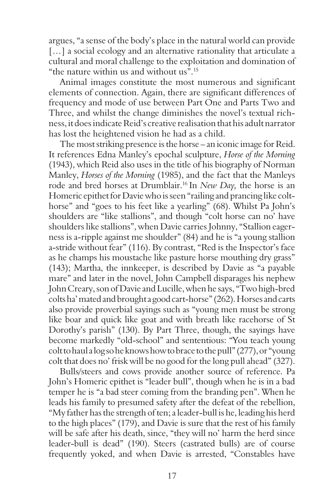argues, "a sense of the body's place in the natural world can provide [...] a social ecology and an alternative rationality that articulate a cultural and moral challenge to the exploitation and domination of "the nature within us and without us".15

Animal images constitute the most numerous and significant elements of connection. Again, there are significant differences of frequency and mode of use between Part One and Parts Two and Three, and whilst the change diminishes the novel's textual richness, it does indicate Reid's creative realisation that his adult narrator has lost the heightened vision he had as a child.

The most striking presence is the horse – an iconic image for Reid. It references Edna Manley's epochal sculpture, *Horse of the Morning* (1943), which Reid also uses in the title of his biography of Norman Manley, *Horses of the Morning* (1985), and the fact that the Manleys rode and bred horses at Drumblair.16 In *New Day,* the horse is an Homeric epithet for Davie who is seen "railing and prancing like colthorse" and "goes to his feet like a yearling" (68). Whilst Pa John's shoulders are "like stallions", and though "colt horse can no' have shoulders like stallions", when Davie carries Johnny, "Stallion eagerness is a-ripple against me shoulder" (84) and he is "a young stallion a-stride without fear" (116). By contrast, "Red is the Inspector's face as he champs his moustache like pasture horse mouthing dry grass" (143); Martha, the innkeeper, is described by Davie as "a payable mare" and later in the novel, John Campbell disparages his nephew John Creary, son of Davie and Lucille, when he says, "Two high-bred colts ha' mated and brought a good cart-horse" (262). Horses and carts also provide proverbial sayings such as "young men must be strong like boar and quick like goat and with breath like racehorse of St Dorothy's parish" (130). By Part Three, though, the sayings have become markedly "old-school" and sententious: "You teach young colt to haul a log so he knows how to brace to the pull" (277), or "young colt that does no' frisk will be no good for the long pull ahead" (327).

Bulls/steers and cows provide another source of reference. Pa John's Homeric epithet is "leader bull", though when he is in a bad temper he is "a bad steer coming from the branding pen". When he leads his family to presumed safety after the defeat of the rebellion, "My father has the strength of ten; a leader-bull is he, leading his herd to the high places" (179), and Davie is sure that the rest of his family will be safe after his death, since, "they will no' harm the herd since leader-bull is dead" (190). Steers (castrated bulls) are of course frequently yoked, and when Davie is arrested, "Constables have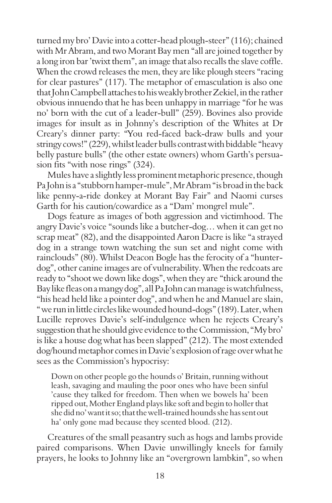turned my bro' Davie into a cotter-head plough-steer" (116); chained with Mr Abram, and two Morant Bay men "all are joined together by a long iron bar 'twixt them", an image that also recalls the slave coffle. When the crowd releases the men, they are like plough steers "racing for clear pastures" (117). The metaphor of emasculation is also one that John Campbell attaches to his weakly brother Zekiel, in the rather obvious innuendo that he has been unhappy in marriage "for he was no' born with the cut of a leader-bull" (259). Bovines also provide images for insult as in Johnny's description of the Whites at Dr Creary's dinner party: "You red-faced back-draw bulls and your stringy cows!" (229), whilst leader bulls contrast with biddable "heavy belly pasture bulls" (the other estate owners) whom Garth's persuasion fits "with nose rings" (324).

Mules have a slightly less prominent metaphoric presence, though Pa John is a "stubborn hamper-mule", Mr Abram "is broad in the back like penny-a-ride donkey at Morant Bay Fair" and Naomi curses Garth for his caution/cowardice as a "Dam' mongrel mule".

Dogs feature as images of both aggression and victimhood. The angry Davie's voice "sounds like a butcher-dog… when it can get no scrap meat" (82), and the disappointed Aaron Dacre is like "a strayed dog in a strange town watching the sun set and night come with rainclouds" (80). Whilst Deacon Bogle has the ferocity of a "hunterdog", other canine images are of vulnerability. When the redcoats are ready to "shoot we down like dogs", when they are "thick around the Bay like fleas on a mangy dog", all Pa John can manage is watchfulness, "his head held like a pointer dog", and when he and Manuel are slain, " we run in little circles like wounded hound-dogs" (189). Later, when Lucille reproves Davie's self-indulgence when he rejects Creary's suggestion that he should give evidence to the Commission, "My bro' is like a house dog what has been slapped" (212). The most extended dog/hound metaphor comes in Davie's explosion of rage over what he sees as the Commission's hypocrisy:

Down on other people go the hounds o' Britain, running without leash, savaging and mauling the poor ones who have been sinful 'cause they talked for freedom. Then when we bowels ha' been ripped out, Mother England plays like soft and begin to holler that she did no' want it so; that the well-trained hounds she has sent out ha' only gone mad because they scented blood. (212).

Creatures of the small peasantry such as hogs and lambs provide paired comparisons. When Davie unwillingly kneels for family prayers, he looks to Johnny like an "overgrown lambkin", so when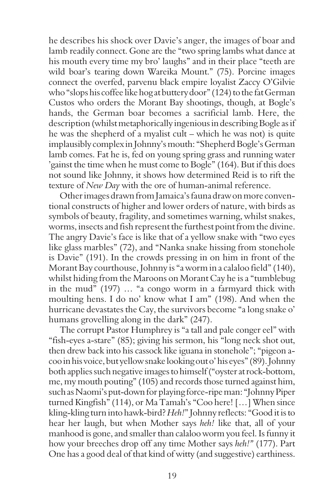he describes his shock over Davie's anger, the images of boar and lamb readily connect. Gone are the "two spring lambs what dance at his mouth every time my bro' laughs" and in their place "teeth are wild boar's tearing down Wareika Mount." (75). Porcine images connect the overfed, parvenu black empire loyalist Zaccy O'Gilvie who "slops his coffee like hog at buttery door" (124) to the fat German Custos who orders the Morant Bay shootings, though, at Bogle's hands, the German boar becomes a sacrificial lamb. Here, the description (whilst metaphorically ingenious in describing Bogle as if he was the shepherd of a myalist cult – which he was not) is quite implausibly complex in Johnny's mouth: "Shepherd Bogle's German lamb comes. Fat he is, fed on young spring grass and running water 'gainst the time when he must come to Bogle" (164). But if this does not sound like Johnny, it shows how determined Reid is to rift the texture of *New Day* with the ore of human-animal reference.

Other images drawn from Jamaica's fauna draw on more conventional constructs of higher and lower orders of nature, with birds as symbols of beauty, fragility, and sometimes warning, whilst snakes, worms, insects and fish represent the furthest point from the divine. The angry Davie's face is like that of a yellow snake with "two eyes like glass marbles" (72), and "Nanka snake hissing from stonehole is Davie" (191). In the crowds pressing in on him in front of the Morant Bay courthouse, Johnny is "a worm in a calaloo field" (140), whilst hiding from the Maroons on Morant Cay he is a "tumblebug in the mud" (197) … "a congo worm in a farmyard thick with moulting hens. I do no' know what I am" (198). And when the hurricane devastates the Cay, the survivors become "a long snake o' humans grovelling along in the dark" (247).

The corrupt Pastor Humphrey is "a tall and pale conger eel" with "fish-eyes a-stare" (85); giving his sermon, his "long neck shot out, then drew back into his cassock like iguana in stonehole"; "pigeon acoo in his voice, but yellow snake looking out o' his eyes" (89). Johnny both applies such negative images to himself ("oyster at rock-bottom, me, my mouth pouting" (105) and records those turned against him, such as Naomi's put-down for playing force-ripe man: "Johnny Piper turned Kingfish" (114), or Ma Tamah's "Coo here! […] When since kling-kling turn into hawk-bird? *Heh!*" Johnny reflects: "Good it is to hear her laugh, but when Mother says *heh!* like that, all of your manhood is gone, and smaller than calaloo worm you feel. Is funny it how your breeches drop off any time Mother says *heh!"* (177). Part One has a good deal of that kind of witty (and suggestive) earthiness.